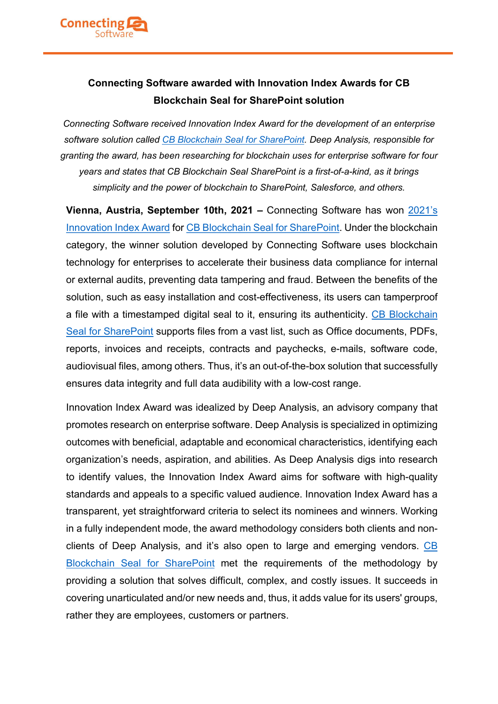

ī

# Connecting Software awarded with Innovation Index Awards for CB Blockchain Seal for SharePoint solution

Connecting Software received Innovation Index Award for the development of an enterprise software solution called CB Blockchain Seal for SharePoint. Deep Analysis, responsible for granting the award, has been researching for blockchain uses for enterprise software for four years and states that CB Blockchain Seal SharePoint is a first-of-a-kind, as it brings simplicity and the power of blockchain to SharePoint, Salesforce, and others.

Vienna, Austria, September 10th, 2021 – Connecting Software has won 2021's Innovation Index Award for CB Blockchain Seal for SharePoint. Under the blockchain category, the winner solution developed by Connecting Software uses blockchain technology for enterprises to accelerate their business data compliance for internal or external audits, preventing data tampering and fraud. Between the benefits of the solution, such as easy installation and cost-effectiveness, its users can tamperproof a file with a timestamped digital seal to it, ensuring its authenticity. CB Blockchain Seal for SharePoint supports files from a vast list, such as Office documents, PDFs, reports, invoices and receipts, contracts and paychecks, e-mails, software code, audiovisual files, among others. Thus, it's an out-of-the-box solution that successfully ensures data integrity and full data audibility with a low-cost range.

Innovation Index Award was idealized by Deep Analysis, an advisory company that promotes research on enterprise software. Deep Analysis is specialized in optimizing outcomes with beneficial, adaptable and economical characteristics, identifying each organization's needs, aspiration, and abilities. As Deep Analysis digs into research to identify values, the Innovation Index Award aims for software with high-quality standards and appeals to a specific valued audience. Innovation Index Award has a transparent, yet straightforward criteria to select its nominees and winners. Working in a fully independent mode, the award methodology considers both clients and nonclients of Deep Analysis, and it's also open to large and emerging vendors. CB Blockchain Seal for SharePoint met the requirements of the methodology by providing a solution that solves difficult, complex, and costly issues. It succeeds in covering unarticulated and/or new needs and, thus, it adds value for its users' groups, rather they are employees, customers or partners.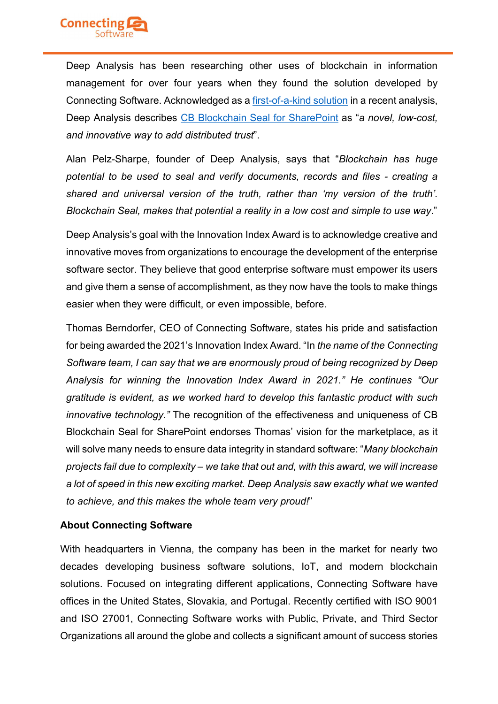

ī

Deep Analysis has been researching other uses of blockchain in information management for over four years when they found the solution developed by Connecting Software. Acknowledged as a first-of-a-kind solution in a recent analysis, Deep Analysis describes CB Blockchain Seal for SharePoint as "a novel, low-cost, and innovative way to add distributed trust".

Alan Pelz-Sharpe, founder of Deep Analysis, says that "Blockchain has huge potential to be used to seal and verify documents, records and files - creating a shared and universal version of the truth, rather than 'my version of the truth'. Blockchain Seal, makes that potential a reality in a low cost and simple to use way."

Deep Analysis's goal with the Innovation Index Award is to acknowledge creative and innovative moves from organizations to encourage the development of the enterprise software sector. They believe that good enterprise software must empower its users and give them a sense of accomplishment, as they now have the tools to make things easier when they were difficult, or even impossible, before.

Thomas Berndorfer, CEO of Connecting Software, states his pride and satisfaction for being awarded the 2021's Innovation Index Award. "In the name of the Connecting Software team, I can say that we are enormously proud of being recognized by Deep Analysis for winning the Innovation Index Award in 2021." He continues "Our gratitude is evident, as we worked hard to develop this fantastic product with such innovative technology." The recognition of the effectiveness and uniqueness of CB Blockchain Seal for SharePoint endorses Thomas' vision for the marketplace, as it will solve many needs to ensure data integrity in standard software: "Many blockchain projects fail due to complexity – we take that out and, with this award, we will increase a lot of speed in this new exciting market. Deep Analysis saw exactly what we wanted to achieve, and this makes the whole team very proud!"

### About Connecting Software

With headquarters in Vienna, the company has been in the market for nearly two decades developing business software solutions, IoT, and modern blockchain solutions. Focused on integrating different applications, Connecting Software have offices in the United States, Slovakia, and Portugal. Recently certified with ISO 9001 and ISO 27001, Connecting Software works with Public, Private, and Third Sector Organizations all around the globe and collects a significant amount of success stories